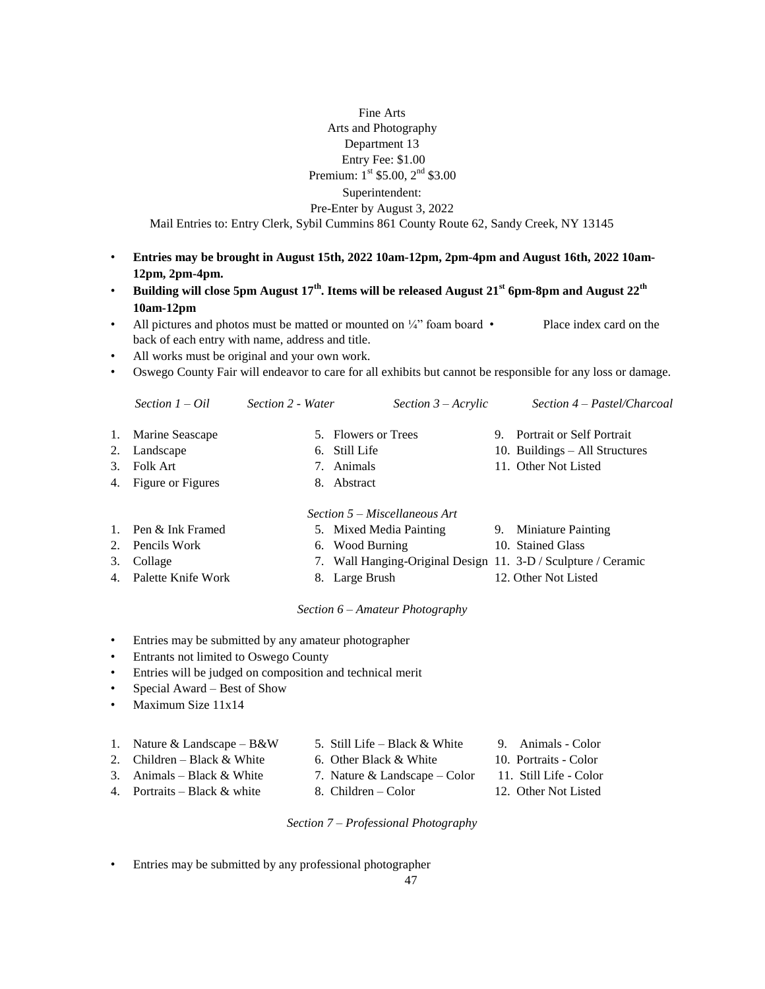## Fine Arts Arts and Photography Department 13 Entry Fee: \$1.00 Premium: 1st \$5.00, 2<sup>nd</sup> \$3.00 Superintendent: Pre-Enter by August 3, 2022 Mail Entries to: Entry Clerk, Sybil Cummins 861 County Route 62, Sandy Creek, NY 13145

- **Entries may be brought in August 15th, 2022 10am-12pm, 2pm-4pm and August 16th, 2022 10am-12pm, 2pm-4pm.**
- **Building will close 5pm August 17th. Items will be released August 21st 6pm-8pm and August 22th 10am-12pm**
- All pictures and photos must be matted or mounted on  $\frac{1}{4}$  foam board Place index card on the back of each entry with name, address and title.
- All works must be original and your own work.
- Oswego County Fair will endeavor to care for all exhibits but cannot be responsible for any loss or damage.

|         | Section $1 - Oil$  | Section 2 - Water |                     | Section $3 - Acrylic$         |    | Section 4 – Pastel/Charcoal                                   |
|---------|--------------------|-------------------|---------------------|-------------------------------|----|---------------------------------------------------------------|
| 1.      | Marine Seascape    |                   | 5. Flowers or Trees |                               | 9. | Portrait or Self Portrait                                     |
|         | Landscape          |                   | 6. Still Life       |                               |    | 10. Buildings – All Structures                                |
| $3_{-}$ | Folk Art           |                   | 7. Animals          |                               |    | 11. Other Not Listed                                          |
| 4.      | Figure or Figures  |                   | 8. Abstract         |                               |    |                                                               |
|         |                    |                   |                     | Section 5 – Miscellaneous Art |    |                                                               |
|         | Pen & Ink Framed   |                   |                     | 5. Mixed Media Painting       | 9. | <b>Miniature Painting</b>                                     |
|         | Pencils Work       |                   | 6. Wood Burning     |                               |    | 10. Stained Glass                                             |
| 3.      | Collage            |                   |                     |                               |    | 7. Wall Hanging-Original Design 11. 3-D / Sculpture / Ceramic |
| 4.      | Palette Knife Work |                   | 8. Large Brush      |                               |    | 12. Other Not Listed                                          |

## *Section 6 – Amateur Photography*

- Entries may be submitted by any amateur photographer
- Entrants not limited to Oswego County
- Entries will be judged on composition and technical merit
- Special Award Best of Show
- Maximum Size 11x14

| 1. Nature & Landscape $-B\&W$ | 5. Still Life – Black $&$ White | 9. Animals - Color     |
|-------------------------------|---------------------------------|------------------------|
| 2. Children – Black $&$ White | 6. Other Black & White          | 10. Portraits - Color  |
| 3. Animals – Black $&$ White  | 7. Nature & Landscape – Color   | 11. Still Life - Color |
|                               |                                 |                        |

- 4. Portraits Black & white 8. Children Color 12. Other Not Listed
	-

## *Section 7 – Professional Photography*

• Entries may be submitted by any professional photographer